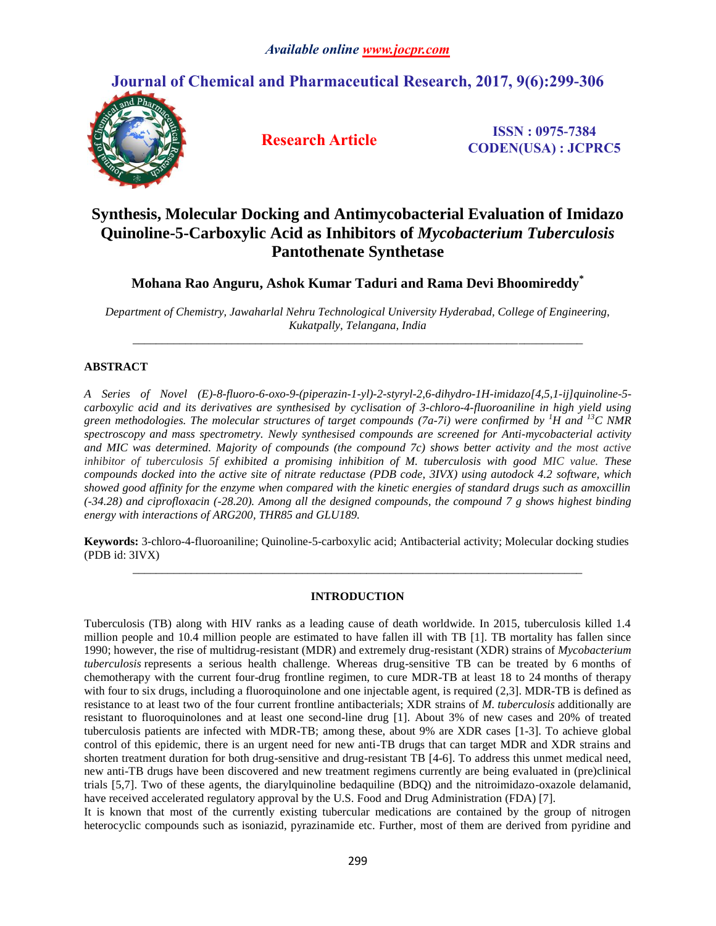## **Journal of Chemical and Pharmaceutical Research, 2017, 9(6):299-306**



**Research Article ISSN : 0975-7384 CODEN(USA) : JCPRC5**

# **Synthesis, Molecular Docking and Antimycobacterial Evaluation of Imidazo Quinoline-5-Carboxylic Acid as Inhibitors of** *Mycobacterium Tuberculosis* **Pantothenate Synthetase**

**Mohana Rao Anguru, Ashok Kumar Taduri and Rama Devi Bhoomireddy\***

*Department of Chemistry, Jawaharlal Nehru Technological University Hyderabad, College of Engineering, Kukatpally, Telangana, India \_\_\_\_\_\_\_\_\_\_\_\_\_\_\_\_\_\_\_\_\_\_\_\_\_\_\_\_\_\_\_\_\_\_\_\_\_\_\_\_\_\_\_\_\_\_\_\_\_\_\_\_\_\_\_\_\_\_\_\_\_\_\_\_\_\_\_\_\_\_\_\_\_\_\_\_\_*

## **ABSTRACT**

*A Series of Novel (E)-8-fluoro-6-oxo-9-(piperazin-1-yl)-2-styryl-2,6-dihydro-1H-imidazo[4,5,1-ij]quinoline-5 carboxylic acid and its derivatives are synthesised by cyclisation of 3-chloro-4-fluoroaniline in high yield using green methodologies. The molecular structures of target compounds (7a-7i) were confirmed by <sup>1</sup>H and <sup>13</sup>C NMR spectroscopy and mass spectrometry. Newly synthesised compounds are screened for Anti-mycobacterial activity and MIC was determined. Majority of compounds (the compound 7c) shows better activity and the most active inhibitor of tuberculosis 5f exhibited a promising inhibition of M. tuberculosis with good MIC value. These compounds docked into the active site of nitrate reductase (PDB code, 3IVX) using autodock 4.2 software, which showed good affinity for the enzyme when compared with the kinetic energies of standard drugs such as amoxcillin (-34.28) and ciprofloxacin (-28.20). Among all the designed compounds, the compound 7 g shows highest binding energy with interactions of ARG200, THR85 and GLU189.* 

**Keywords:** 3-chloro-4-fluoroaniline; Quinoline-5-carboxylic acid; Antibacterial activity; Molecular docking studies (PDB id: 3IVX) *\_\_\_\_\_\_\_\_\_\_\_\_\_\_\_\_\_\_\_\_\_\_\_\_\_\_\_\_\_\_\_\_\_\_\_\_\_\_\_\_\_\_\_\_\_\_\_\_\_\_\_\_\_\_\_\_\_\_\_\_\_\_\_\_\_\_\_\_\_\_\_\_\_\_\_\_\_*

## **INTRODUCTION**

Tuberculosis (TB) along with HIV ranks as a leading cause of death worldwide. In 2015, tuberculosis killed 1.4 million people and 10.4 million people are estimated to have fallen ill with TB [1]. TB mortality has fallen since 1990; however, the rise of multidrug-resistant (MDR) and extremely drug-resistant (XDR) strains of *Mycobacterium tuberculosis* represents a serious health challenge. Whereas drug-sensitive TB can be treated by 6 months of chemotherapy with the current four-drug frontline regimen, to cure MDR-TB at least 18 to 24 months of therapy with four to six drugs, including a fluoroquinolone and one injectable agent, is required (2,3). MDR-TB is defined as resistance to at least two of the four current frontline antibacterials; XDR strains of *M. tuberculosis* additionally are resistant to fluoroquinolones and at least one second-line drug [1]. About 3% of new cases and 20% of treated tuberculosis patients are infected with MDR-TB; among these, about 9% are XDR cases [1-3]. To achieve global control of this epidemic, there is an urgent need for new anti-TB drugs that can target MDR and XDR strains and shorten treatment duration for both drug-sensitive and drug-resistant TB [4-6]. To address this unmet medical need, new anti-TB drugs have been discovered and new treatment regimens currently are being evaluated in (pre)clinical trials [\[5](http://mbio.asm.org/content/8/2/e00272-17.full#ref-5)[,7\]](http://mbio.asm.org/content/8/2/e00272-17.full#ref-7). Two of these agents, the diarylquinoline bedaquiline (BDQ) and the nitroimidazo-oxazole delamanid, have received accelerated regulatory approval by the U.S. Food and Drug Administration (FDA) [\[7\]](http://mbio.asm.org/content/8/2/e00272-17.full#ref-7).

It is known that most of the currently existing tubercular medications are contained by the group of nitrogen heterocyclic compounds such as isoniazid, pyrazinamide etc. Further, most of them are derived from pyridine and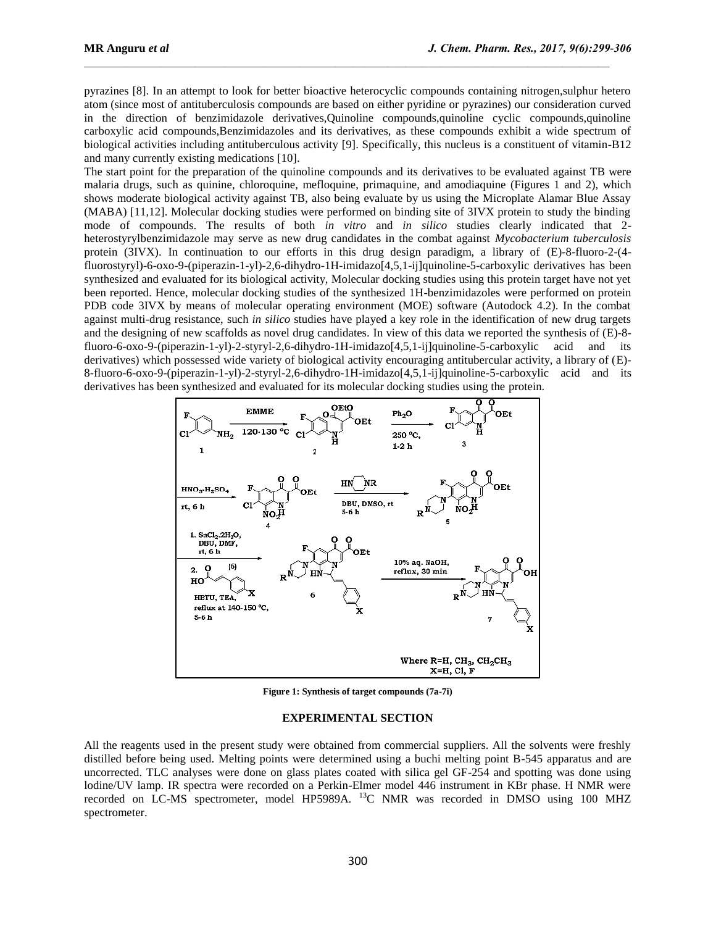pyrazines [8]. In an attempt to look for better bioactive heterocyclic compounds containing nitrogen,sulphur hetero atom (since most of antituberculosis compounds are based on either pyridine or pyrazines) our consideration curved in the direction of benzimidazole derivatives,Quinoline compounds,quinoline cyclic compounds,quinoline carboxylic acid compounds,Benzimidazoles and its derivatives, as these compounds exhibit a wide spectrum of biological activities including antituberculous activity [9]. Specifically, this nucleus is a constituent of vitamin-B12 and many currently existing medications [10].

The start point for the preparation of the quinoline compounds and its derivatives to be evaluated against TB were malaria drugs, such as quinine, chloroquine, mefloquine, primaquine, and amodiaquine (Figures 1 and 2), which shows moderate biological activity against TB, also being evaluate by us using the Microplate Alamar Blue Assay (MABA) [11,12]. Molecular docking studies were performed on binding site of 3IVX protein to study the binding mode of compounds. The results of both *in vitro* and *in silico* studies clearly indicated that 2 heterostyrylbenzimidazole may serve as new drug candidates in the combat against *Mycobacterium tuberculosis* protein (3IVX). In continuation to our efforts in this drug design paradigm, a library of (E)-8-fluoro-2-(4 fluorostyryl)-6-oxo-9-(piperazin-1-yl)-2,6-dihydro-1H-imidazo[4,5,1-ij]quinoline-5-carboxylic derivatives has been synthesized and evaluated for its biological activity, Molecular docking studies using this protein target have not yet been reported. Hence, molecular docking studies of the synthesized 1H-benzimidazoles were performed on protein PDB code 3IVX by means of molecular operating environment (MOE) software (Autodock 4.2). In the combat against multi-drug resistance, such *in silico* studies have played a key role in the identification of new drug targets and the designing of new scaffolds as novel drug candidates. In view of this data we reported the synthesis of (E)-8 fluoro-6-oxo-9-(piperazin-1-yl)-2-styryl-2,6-dihydro-1H-imidazo[4,5,1-ij]quinoline-5-carboxylic acid and its derivatives) which possessed wide variety of biological activity encouraging antitubercular activity, a library of (E)- 8-fluoro-6-oxo-9-(piperazin-1-yl)-2-styryl-2,6-dihydro-1H-imidazo[4,5,1-ij]quinoline-5-carboxylic acid and its derivatives has been synthesized and evaluated for its molecular docking studies using the protein.



**Figure 1: Synthesis of target compounds (7a-7i)** 

#### **EXPERIMENTAL SECTION**

All the reagents used in the present study were obtained from commercial suppliers. All the solvents were freshly distilled before being used. Melting points were determined using a buchi melting point B-545 apparatus and are uncorrected. TLC analyses were done on glass plates coated with silica gel GF-254 and spotting was done using lodine/UV lamp. IR spectra were recorded on a Perkin-Elmer model 446 instrument in KBr phase. H NMR were recorded on LC-MS spectrometer, model HP5989A. <sup>13</sup>C NMR was recorded in DMSO using 100 MHZ spectrometer.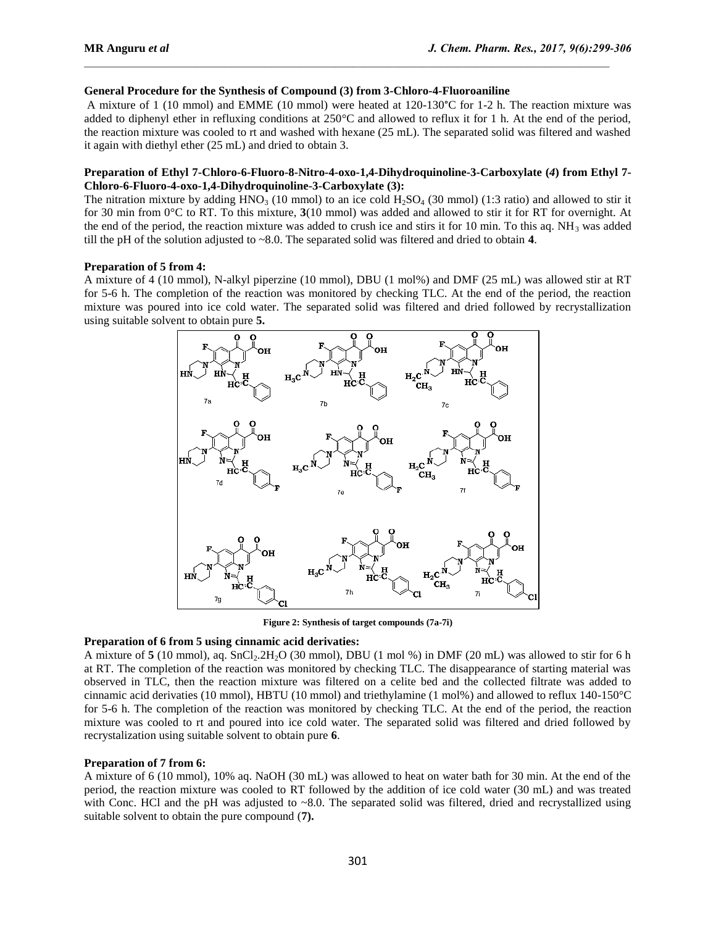#### **General Procedure for the Synthesis of Compound (3) from 3-Chloro-4-Fluoroaniline**

A mixture of 1 (10 mmol) and EMME (10 mmol) were heated at 120-130°C for 1-2 h. The reaction mixture was added to diphenyl ether in refluxing conditions at 250°C and allowed to reflux it for 1 h. At the end of the period, the reaction mixture was cooled to rt and washed with hexane (25 mL). The separated solid was filtered and washed it again with diethyl ether (25 mL) and dried to obtain 3.

#### **Preparation of Ethyl 7-Chloro-6-Fluoro-8-Nitro-4-oxo-1,4-Dihydroquinoline-3-Carboxylate (***4***) from Ethyl 7- Chloro-6-Fluoro-4-oxo-1,4-Dihydroquinoline-3-Carboxylate (3):**

The nitration mixture by adding  $HNO<sub>3</sub>$  (10 mmol) to an ice cold  $H<sub>2</sub>SO<sub>4</sub>$  (30 mmol) (1:3 ratio) and allowed to stir it for 30 min from 0°C to RT. To this mixture, **3**(10 mmol) was added and allowed to stir it for RT for overnight. At the end of the period, the reaction mixture was added to crush ice and stirs it for 10 min. To this aq.  $NH_3$  was added till the pH of the solution adjusted to ~8.0. The separated solid was filtered and dried to obtain **4**.

#### **Preparation of 5 from 4:**

A mixture of 4 (10 mmol), N-alkyl piperzine (10 mmol), DBU (1 mol%) and DMF (25 mL) was allowed stir at RT for 5-6 h. The completion of the reaction was monitored by checking TLC. At the end of the period, the reaction mixture was poured into ice cold water. The separated solid was filtered and dried followed by recrystallization using suitable solvent to obtain pure **5.**



**Figure 2: Synthesis of target compounds (7a-7i)**

#### **Preparation of 6 from 5 using cinnamic acid derivaties:**

A mixture of 5 (10 mmol), aq. SnCl<sub>2</sub>.2H<sub>2</sub>O (30 mmol), DBU (1 mol %) in DMF (20 mL) was allowed to stir for 6 h at RT. The completion of the reaction was monitored by checking TLC. The disappearance of starting material was observed in TLC, then the reaction mixture was filtered on a celite bed and the collected filtrate was added to cinnamic acid derivaties (10 mmol), HBTU (10 mmol) and triethylamine (1 mol%) and allowed to reflux 140-150°C for 5-6 h. The completion of the reaction was monitored by checking TLC. At the end of the period, the reaction mixture was cooled to rt and poured into ice cold water. The separated solid was filtered and dried followed by recrystalization using suitable solvent to obtain pure **6**.

#### **Preparation of 7 from 6:**

A mixture of 6 (10 mmol), 10% aq. NaOH (30 mL) was allowed to heat on water bath for 30 min. At the end of the period, the reaction mixture was cooled to RT followed by the addition of ice cold water (30 mL) and was treated with Conc. HCl and the pH was adjusted to ~8.0. The separated solid was filtered, dried and recrystallized using suitable solvent to obtain the pure compound (**7).**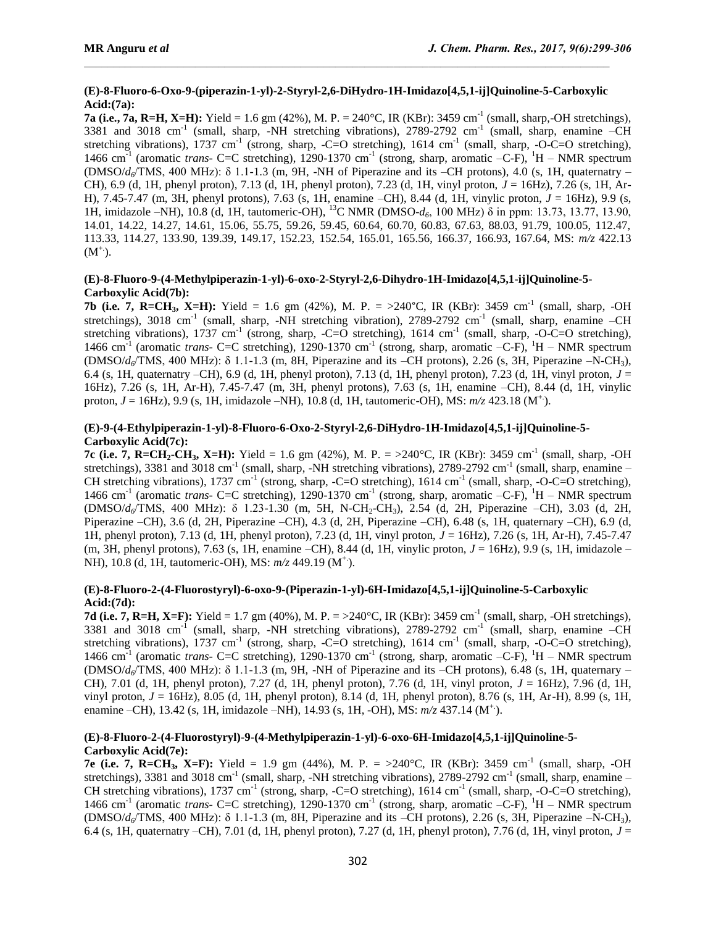## **(E)-8-Fluoro-6-Oxo-9-(piperazin-1-yl)-2-Styryl-2,6-DiHydro-1H-Imidazo[4,5,1-ij]Quinoline-5-Carboxylic Acid:(7a):**

**7a (i.e., 7a, R=H, X=H):** Yield = 1.6 gm (42%), M. P. = 240°C, IR (KBr): 3459 cm<sup>-1</sup> (small, sharp,-OH stretchings), 3381 and 3018 cm<sup>-1</sup> (small, sharp, -NH stretching vibrations), 2789-2792 cm<sup>-1</sup> (small, sharp, enamine -CH stretching vibrations), 1737 cm<sup>-1</sup> (strong, sharp, -C=O stretching), 1614 cm<sup>-1</sup> (small, sharp, -O-C=O stretching), 1466 cm<sup>-1</sup> (aromatic *trans*- C=C stretching), 1290-1370 cm<sup>-1</sup> (strong, sharp, aromatic -C-F), <sup>1</sup>H – NMR spectrum (DMSO/*d6*/TMS, 400 MHz): δ 1.1-1.3 (m, 9H, -NH of Piperazine and its –CH protons), 4.0 (s, 1H, quaternatry – CH), 6.9 (d, 1H, phenyl proton), 7.13 (d, 1H, phenyl proton), 7.23 (d, 1H, vinyl proton, *J* = 16Hz), 7.26 (s, 1H, Ar-H), 7.45-7.47 (m, 3H, phenyl protons), 7.63 (s, 1H, enamine –CH), 8.44 (d, 1H, vinylic proton, *J* = 16Hz), 9.9 (s, 1H, imidazole –NH), 10.8 (d, 1H, tautomeric-OH), <sup>13</sup>C NMR (DMSO-*d6*, 100 MHz) δ in ppm: 13.73, 13.77, 13.90, 14.01, 14.22, 14.27, 14.61, 15.06, 55.75, 59.26, 59.45, 60.64, 60.70, 60.83, 67.63, 88.03, 91.79, 100.05, 112.47, 113.33, 114.27, 133.90, 139.39, 149.17, 152.23, 152.54, 165.01, 165.56, 166.37, 166.93, 167.64, MS: *m/z* 422.13  $(M^+).$ 

## **(E)-8-Fluoro-9-(4-Methylpiperazin-1-yl)-6-oxo-2-Styryl-2,6-Dihydro-1H-Imidazo[4,5,1-ij]Quinoline-5- Carboxylic Acid(7b):**

**7b (i.e. 7, R=CH<sub>3</sub>, X=H):** Yield = 1.6 gm (42%), M. P. =  $>240^{\circ}$ C, IR (KBr): 3459 cm<sup>-1</sup> (small, sharp, -OH stretchings), 3018 cm<sup>-1</sup> (small, sharp, -NH stretching vibration), 2789-2792 cm<sup>-1</sup> (small, sharp, enamine -CH stretching vibrations), 1737 cm<sup>-1</sup> (strong, sharp, -C=O stretching), 1614 cm<sup>-1</sup> (small, sharp, -O-C=O stretching), 1466 cm<sup>-1</sup> (aromatic *trans*- C=C stretching), 1290-1370 cm<sup>-1</sup> (strong, sharp, aromatic –C-F), <sup>1</sup>H – NMR spectrum (DMSO/*d6*/TMS, 400 MHz): δ 1.1-1.3 (m, 8H, Piperazine and its –CH protons), 2.26 (s, 3H, Piperazine –N-CH3), 6.4 (s, 1H, quaternatry –CH), 6.9 (d, 1H, phenyl proton), 7.13 (d, 1H, phenyl proton), 7.23 (d, 1H, vinyl proton, *J* = 16Hz), 7.26 (s, 1H, Ar-H), 7.45-7.47 (m, 3H, phenyl protons), 7.63 (s, 1H, enamine –CH), 8.44 (d, 1H, vinylic proton, *J* = 16Hz), 9.9 (s, 1H, imidazole –NH), 10.8 (d, 1H, tautomeric-OH), MS: *m/z* 423.18 (M+.).

## **(E)-9-(4-Ethylpiperazin-1-yl)-8-Fluoro-6-Oxo-2-Styryl-2,6-DiHydro-1H-Imidazo[4,5,1-ij]Quinoline-5- Carboxylic Acid(7c):**

**7c (i.e. 7,**  $R=CH_2-CH_3$ **,**  $X=H$ **): Yield = 1.6 gm (42%), M. P. = >240°C, IR (KBr): 3459 cm<sup>-1</sup> (small, sharp, -OH** stretchings), 3381 and 3018 cm<sup>-1</sup> (small, sharp, -NH stretching vibrations), 2789-2792 cm<sup>-1</sup> (small, sharp, enamine – CH stretching vibrations), 1737 cm<sup>-1</sup> (strong, sharp, -C=O stretching), 1614 cm<sup>-1</sup> (small, sharp, -O-C=O stretching), 1466 cm<sup>-1</sup> (aromatic *trans*- C=C stretching), 1290-1370 cm<sup>-1</sup> (strong, sharp, aromatic -C-F), <sup>1</sup>H – NMR spectrum (DMSO/*d6*/TMS, 400 MHz): δ 1.23-1.30 (m, 5H, N-CH2-CH3), 2.54 (d, 2H, Piperazine –CH), 3.03 (d, 2H, Piperazine –CH), 3.6 (d, 2H, Piperazine –CH), 4.3 (d, 2H, Piperazine –CH), 6.48 (s, 1H, quaternary –CH), 6.9 (d, 1H, phenyl proton), 7.13 (d, 1H, phenyl proton), 7.23 (d, 1H, vinyl proton, *J* = 16Hz), 7.26 (s, 1H, Ar-H), 7.45-7.47 (m, 3H, phenyl protons), 7.63 (s, 1H, enamine –CH), 8.44 (d, 1H, vinylic proton,  $J = 16$ Hz), 9.9 (s, 1H, imidazole – NH), 10.8 (d, 1H, tautomeric-OH), MS:  $m/z$  449.19 (M<sup>+</sup>).

## **(E)-8-Fluoro-2-(4-Fluorostyryl)-6-oxo-9-(Piperazin-1-yl)-6H-Imidazo[4,5,1-ij]Quinoline-5-Carboxylic Acid:(7d):**

**7d (i.e. 7, R=H, X=F):** Yield = 1.7 gm (40%), M. P. = >240°C, IR (KBr): 3459 cm<sup>-1</sup> (small, sharp, -OH stretchings), 3381 and 3018 cm<sup>-1</sup> (small, sharp, -NH stretching vibrations), 2789-2792 cm<sup>-1</sup> (small, sharp, enamine -CH stretching vibrations), 1737 cm<sup>-1</sup> (strong, sharp, -C=O stretching), 1614 cm<sup>-1</sup> (small, sharp, -O-C=O stretching), 1466 cm<sup>-1</sup> (aromatic *trans*- C=C stretching), 1290-1370 cm<sup>-1</sup> (strong, sharp, aromatic -C-F), <sup>1</sup>H – NMR spectrum (DMSO/*d6*/TMS, 400 MHz): δ 1.1-1.3 (m, 9H, -NH of Piperazine and its –CH protons), 6.48 (s, 1H, quaternary – CH), 7.01 (d, 1H, phenyl proton), 7.27 (d, 1H, phenyl proton), 7.76 (d, 1H, vinyl proton, *J* = 16Hz), 7.96 (d, 1H, vinyl proton, *J* = 16Hz), 8.05 (d, 1H, phenyl proton), 8.14 (d, 1H, phenyl proton), 8.76 (s, 1H, Ar-H), 8.99 (s, 1H, enamine –CH), 13.42 (s, 1H, imidazole –NH), 14.93 (s, 1H, -OH), MS: *m/z* 437.14 (M+.).

## **(E)-8-Fluoro-2-(4-Fluorostyryl)-9-(4-Methylpiperazin-1-yl)-6-oxo-6H-Imidazo[4,5,1-ij]Quinoline-5- Carboxylic Acid(7e):**

**7e (i.e. 7, R=CH<sub>3</sub>, X=F):** Yield = 1.9 gm (44%), M. P. = >240°C, IR (KBr): 3459 cm<sup>-1</sup> (small, sharp, -OH stretchings), 3381 and 3018 cm<sup>-1</sup> (small, sharp, -NH stretching vibrations), 2789-2792 cm<sup>-1</sup> (small, sharp, enamine – CH stretching vibrations), 1737 cm<sup>-1</sup> (strong, sharp, -C=O stretching), 1614 cm<sup>-1</sup> (small, sharp, -O-C=O stretching), 1466 cm<sup>-1</sup> (aromatic *trans*- C=C stretching), 1290-1370 cm<sup>-1</sup> (strong, sharp, aromatic –C-F), <sup>1</sup>H – NMR spectrum (DMSO/*d6*/TMS, 400 MHz): δ 1.1-1.3 (m, 8H, Piperazine and its –CH protons), 2.26 (s, 3H, Piperazine –N-CH3), 6.4 (s, 1H, quaternatry –CH), 7.01 (d, 1H, phenyl proton), 7.27 (d, 1H, phenyl proton), 7.76 (d, 1H, vinyl proton, *J* =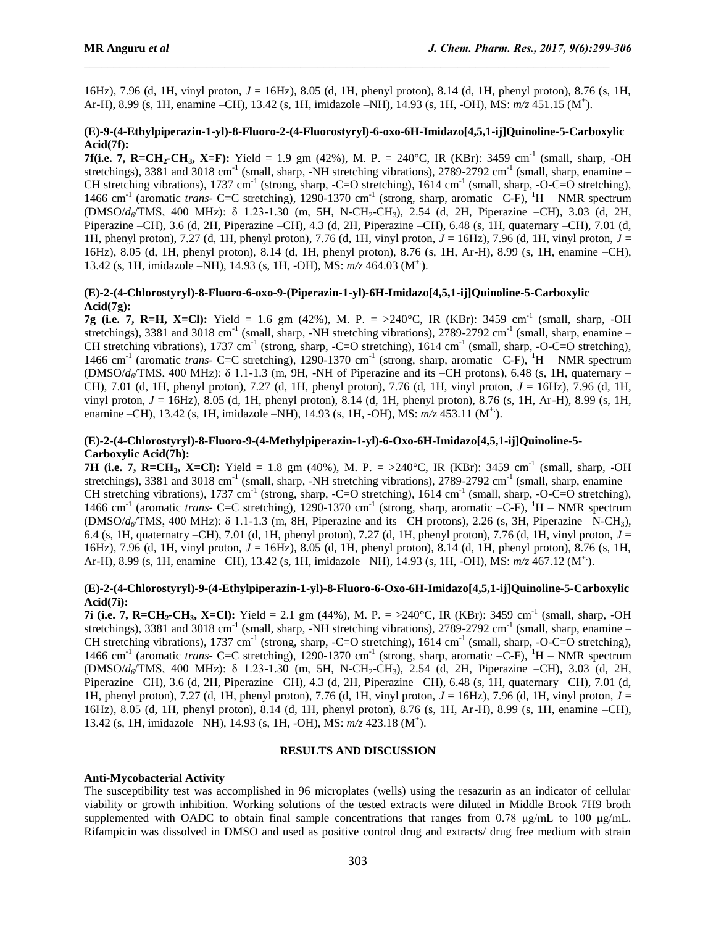16Hz), 7.96 (d, 1H, vinyl proton, *J* = 16Hz), 8.05 (d, 1H, phenyl proton), 8.14 (d, 1H, phenyl proton), 8.76 (s, 1H, Ar-H), 8.99 (s, 1H, enamine –CH), 13.42 (s, 1H, imidazole –NH), 14.93 (s, 1H, -OH), MS: *m/z* 451.15 (M<sup>+</sup> ).

## **(E)-9-(4-Ethylpiperazin-1-yl)-8-Fluoro-2-(4-Fluorostyryl)-6-oxo-6H-Imidazo[4,5,1-ij]Quinoline-5-Carboxylic Acid(7f):**

**7f(i.e. 7, R=CH<sub>2</sub>-CH<sub>3</sub>, X=F):** Yield = 1.9 gm (42%), M. P. = 240°C, IR (KBr): 3459 cm<sup>-1</sup> (small, sharp, -OH stretchings), 3381 and 3018 cm<sup>-1</sup> (small, sharp, -NH stretching vibrations), 2789-2792 cm<sup>-1</sup> (small, sharp, enamine – CH stretching vibrations), 1737 cm<sup>-1</sup> (strong, sharp, -C=O stretching), 1614 cm<sup>-1</sup> (small, sharp, -O-C=O stretching), 1466 cm<sup>-1</sup> (aromatic *trans*- C=C stretching), 1290-1370 cm<sup>-1</sup> (strong, sharp, aromatic -C-F), <sup>1</sup>H – NMR spectrum (DMSO/*d6*/TMS, 400 MHz): δ 1.23-1.30 (m, 5H, N-CH2-CH3), 2.54 (d, 2H, Piperazine –CH), 3.03 (d, 2H, Piperazine –CH), 3.6 (d, 2H, Piperazine –CH), 4.3 (d, 2H, Piperazine –CH), 6.48 (s, 1H, quaternary –CH), 7.01 (d, 1H, phenyl proton), 7.27 (d, 1H, phenyl proton), 7.76 (d, 1H, vinyl proton, *J* = 16Hz), 7.96 (d, 1H, vinyl proton, *J* = 16Hz), 8.05 (d, 1H, phenyl proton), 8.14 (d, 1H, phenyl proton), 8.76 (s, 1H, Ar-H), 8.99 (s, 1H, enamine –CH), 13.42 (s, 1H, imidazole –NH), 14.93 (s, 1H, -OH), MS: *m/z* 464.03 (M+.).

#### **(E)-2-(4-Chlorostyryl)-8-Fluoro-6-oxo-9-(Piperazin-1-yl)-6H-Imidazo[4,5,1-ij]Quinoline-5-Carboxylic Acid(7g):**

**7g (i.e. 7, R=H, X=Cl):** Yield = 1.6 gm (42%), M. P. = >240°C, IR (KBr): 3459 cm<sup>-1</sup> (small, sharp, -OH stretchings), 3381 and 3018 cm<sup>-1</sup> (small, sharp, -NH stretching vibrations), 2789-2792 cm<sup>-1</sup> (small, sharp, enamine – CH stretching vibrations), 1737 cm<sup>-1</sup> (strong, sharp, -C=O stretching), 1614 cm<sup>-1</sup> (small, sharp, -O-C=O stretching), 1466 cm<sup>-1</sup> (aromatic *trans*- C=C stretching), 1290-1370 cm<sup>-1</sup> (strong, sharp, aromatic –C-F), <sup>1</sup>H – NMR spectrum (DMSO/*d6*/TMS, 400 MHz): δ 1.1-1.3 (m, 9H, -NH of Piperazine and its –CH protons), 6.48 (s, 1H, quaternary – CH), 7.01 (d, 1H, phenyl proton), 7.27 (d, 1H, phenyl proton), 7.76 (d, 1H, vinyl proton, *J* = 16Hz), 7.96 (d, 1H, vinyl proton, *J* = 16Hz), 8.05 (d, 1H, phenyl proton), 8.14 (d, 1H, phenyl proton), 8.76 (s, 1H, Ar-H), 8.99 (s, 1H, enamine –CH), 13.42 (s, 1H, imidazole –NH), 14.93 (s, 1H, -OH), MS: *m/z* 453.11 (M+.).

## **(E)-2-(4-Chlorostyryl)-8-Fluoro-9-(4-Methylpiperazin-1-yl)-6-Oxo-6H-Imidazo[4,5,1-ij]Quinoline-5- Carboxylic Acid(7h):**

**7H** (i.e. 7, R=CH<sub>3</sub>, X=Cl): Yield = 1.8 gm (40%), M. P. = >240°C, IR (KBr): 3459 cm<sup>-1</sup> (small, sharp, -OH stretchings), 3381 and 3018 cm<sup>-1</sup> (small, sharp, -NH stretching vibrations), 2789-2792 cm<sup>-1</sup> (small, sharp, enamine – CH stretching vibrations), 1737 cm<sup>-1</sup> (strong, sharp, -C=O stretching), 1614 cm<sup>-1</sup> (small, sharp, -O-C=O stretching), 1466 cm<sup>-1</sup> (aromatic *trans*- C=C stretching), 1290-1370 cm<sup>-1</sup> (strong, sharp, aromatic -C-F), <sup>1</sup>H – NMR spectrum (DMSO/*d6*/TMS, 400 MHz): δ 1.1-1.3 (m, 8H, Piperazine and its –CH protons), 2.26 (s, 3H, Piperazine –N-CH3), 6.4 (s, 1H, quaternatry –CH), 7.01 (d, 1H, phenyl proton), 7.27 (d, 1H, phenyl proton), 7.76 (d, 1H, vinyl proton, *J* = 16Hz), 7.96 (d, 1H, vinyl proton, *J* = 16Hz), 8.05 (d, 1H, phenyl proton), 8.14 (d, 1H, phenyl proton), 8.76 (s, 1H, Ar-H), 8.99 (s, 1H, enamine –CH), 13.42 (s, 1H, imidazole –NH), 14.93 (s, 1H, -OH), MS: *m/z* 467.12 (M+.).

## **(E)-2-(4-Chlorostyryl)-9-(4-Ethylpiperazin-1-yl)-8-Fluoro-6-Oxo-6H-Imidazo[4,5,1-ij]Quinoline-5-Carboxylic Acid(7i):**

**7i (i.e. 7, R=CH<sub>2</sub>-CH<sub>3</sub>, X=Cl):** Yield = 2.1 gm (44%), M. P. = >240°C, IR (KBr): 3459 cm<sup>-1</sup> (small, sharp, -OH stretchings), 3381 and 3018 cm<sup>-1</sup> (small, sharp, -NH stretching vibrations), 2789-2792 cm<sup>-1</sup> (small, sharp, enamine – CH stretching vibrations), 1737 cm<sup>-1</sup> (strong, sharp, -C=O stretching), 1614 cm<sup>-1</sup> (small, sharp, -O-C=O stretching), 1466 cm<sup>-1</sup> (aromatic *trans*- C=C stretching), 1290-1370 cm<sup>-1</sup> (strong, sharp, aromatic -C-F), <sup>1</sup>H – NMR spectrum (DMSO/*d6*/TMS, 400 MHz): δ 1.23-1.30 (m, 5H, N-CH2-CH3), 2.54 (d, 2H, Piperazine –CH), 3.03 (d, 2H, Piperazine –CH), 3.6 (d, 2H, Piperazine –CH), 4.3 (d, 2H, Piperazine –CH), 6.48 (s, 1H, quaternary –CH), 7.01 (d, 1H, phenyl proton), 7.27 (d, 1H, phenyl proton), 7.76 (d, 1H, vinyl proton, *J* = 16Hz), 7.96 (d, 1H, vinyl proton, *J* = 16Hz), 8.05 (d, 1H, phenyl proton), 8.14 (d, 1H, phenyl proton), 8.76 (s, 1H, Ar-H), 8.99 (s, 1H, enamine –CH), 13.42 (s, 1H, imidazole –NH), 14.93 (s, 1H, -OH), MS: *m/z* 423.18 (M<sup>+</sup> ).

#### **RESULTS AND DISCUSSION**

## **Anti-Mycobacterial Activity**

The susceptibility test was accomplished in 96 microplates (wells) using the resazurin as an indicator of cellular viability or growth inhibition. Working solutions of the tested extracts were diluted in Middle Brook 7H9 broth supplemented with OADC to obtain final sample concentrations that ranges from 0.78 μg/mL to 100 μg/mL. Rifampicin was dissolved in DMSO and used as positive control drug and extracts/ drug free medium with strain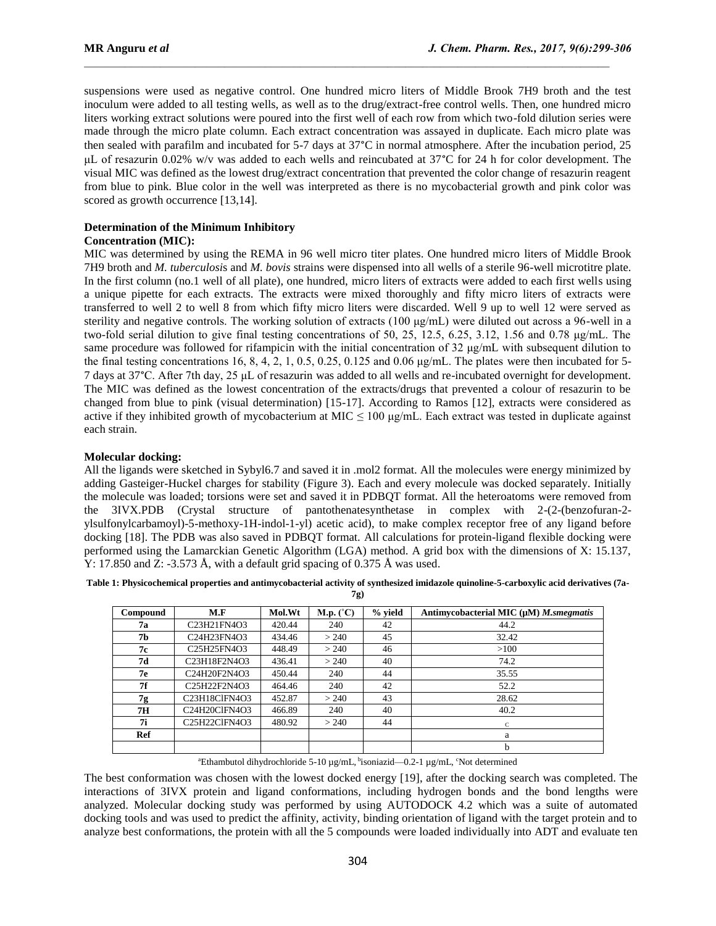suspensions were used as negative control. One hundred micro liters of Middle Brook 7H9 broth and the test inoculum were added to all testing wells, as well as to the drug/extract-free control wells. Then, one hundred micro liters working extract solutions were poured into the first well of each row from which two-fold dilution series were made through the micro plate column. Each extract concentration was assayed in duplicate. Each micro plate was then sealed with parafilm and incubated for 5-7 days at 37°C in normal atmosphere. After the incubation period, 25 μL of resazurin 0.02% w/v was added to each wells and reincubated at 37°C for 24 h for color development. The visual MIC was defined as the lowest drug/extract concentration that prevented the color change of resazurin reagent from blue to pink. Blue color in the well was interpreted as there is no mycobacterial growth and pink color was scored as growth occurrence [13,14].

## **Determination of the Minimum Inhibitory**

#### **Concentration (MIC):**

MIC was determined by using the REMA in 96 well micro titer plates. One hundred micro liters of Middle Brook 7H9 broth and *M. tuberculosi*s and *M. bovis* strains were dispensed into all wells of a sterile 96-well microtitre plate. In the first column (no.1 well of all plate), one hundred, micro liters of extracts were added to each first wells using a unique pipette for each extracts. The extracts were mixed thoroughly and fifty micro liters of extracts were transferred to well 2 to well 8 from which fifty micro liters were discarded. Well 9 up to well 12 were served as sterility and negative controls. The working solution of extracts (100 μg/mL) were diluted out across a 96-well in a two-fold serial dilution to give final testing concentrations of 50, 25, 12.5, 6.25, 3.12, 1.56 and 0.78 μg/mL. The same procedure was followed for rifampicin with the initial concentration of 32 μg/mL with subsequent dilution to the final testing concentrations 16, 8, 4, 2, 1, 0.5, 0.25, 0.125 and 0.06 μg/mL. The plates were then incubated for 5-7 days at 37°C. After 7th day, 25 μL of resazurin was added to all wells and re-incubated overnight for development. The MIC was defined as the lowest concentration of the extracts/drugs that prevented a colour of resazurin to be changed from blue to pink (visual determination) [15-17]. According to Ramos [12], extracts were considered as active if they inhibited growth of mycobacterium at MIC  $\leq 100 \text{ µg/mL}$ . Each extract was tested in duplicate against each strain.

#### **Molecular docking:**

All the ligands were sketched in Sybyl6.7 and saved it in .mol2 format. All the molecules were energy minimized by adding Gasteiger-Huckel charges for stability (Figure 3). Each and every molecule was docked separately. Initially the molecule was loaded; torsions were set and saved it in PDBQT format. All the heteroatoms were removed from the 3IVX.PDB (Crystal structure of pantothenatesynthetase in complex with 2-(2-(benzofuran-2 ylsulfonylcarbamoyl)-5-methoxy-1H-indol-1-yl) acetic acid), to make complex receptor free of any ligand before docking [18]. The PDB was also saved in PDBQT format. All calculations for protein-ligand flexible docking were performed using the Lamarckian Genetic Algorithm (LGA) method. A grid box with the dimensions of X: 15.137, Y: 17.850 and Z: -3.573 Å, with a default grid spacing of 0.375 Å was used.

**Table 1: Physicochemical properties and antimycobacterial activity of synthesized imidazole quinoline-5-carboxylic acid derivatives (7a-**

**7g)**

| Compound  | M.F                                                              | Mol.Wt | M.p. (°C) | $%$ yield | Antimycobacterial MIC $(\mu M)$ <i>M.smegmatis</i> |
|-----------|------------------------------------------------------------------|--------|-----------|-----------|----------------------------------------------------|
| 7а        | C <sub>23</sub> H <sub>21</sub> FN <sub>4</sub> O <sub>3</sub>   | 420.44 | 240       | 42        | 44.2                                               |
| 7b        | C24H23FN4O3                                                      | 434.46 | > 240     | 45        | 32.42                                              |
| 7с        | C <sub>25</sub> H <sub>25</sub> FN <sub>4</sub> O <sub>3</sub>   | 448.49 | > 240     | 46        | >100                                               |
| 7d        | C <sub>23</sub> H <sub>18F2N4O3</sub>                            | 436.41 | > 240     | 40        | 74.2                                               |
| 7е        | C24H20F2N4O3                                                     | 450.44 | 240       | 44        | 35.55                                              |
| 7f        | C <sub>25</sub> H <sub>22F2N4O3</sub>                            | 464.46 | 240       | 42        | 52.2                                               |
| 7g        | C <sub>23</sub> H <sub>18</sub> ClFN <sub>4</sub> O <sub>3</sub> | 452.87 | > 240     | 43        | 28.62                                              |
| <b>7H</b> | C24H20ClFN4O3                                                    | 466.89 | 240       | 40        | 40.2                                               |
| 7i        | C <sub>25</sub> H <sub>22</sub> ClFN <sub>4</sub> O <sub>3</sub> | 480.92 | > 240     | 44        | C                                                  |
| Ref       |                                                                  |        |           |           | a                                                  |
|           |                                                                  |        |           |           | b                                                  |

<sup>a</sup>Ethambutol dihydrochloride 5-10 μg/mL, <sup>b</sup>isoniazid—0.2-1 μg/mL, °Not determined

The best conformation was chosen with the lowest docked energy [19], after the docking search was completed. The interactions of 3IVX protein and ligand conformations, including hydrogen bonds and the bond lengths were analyzed. Molecular docking study was performed by using AUTODOCK 4.2 which was a suite of automated docking tools and was used to predict the affinity, activity, binding orientation of ligand with the target protein and to analyze best conformations, the protein with all the 5 compounds were loaded individually into ADT and evaluate ten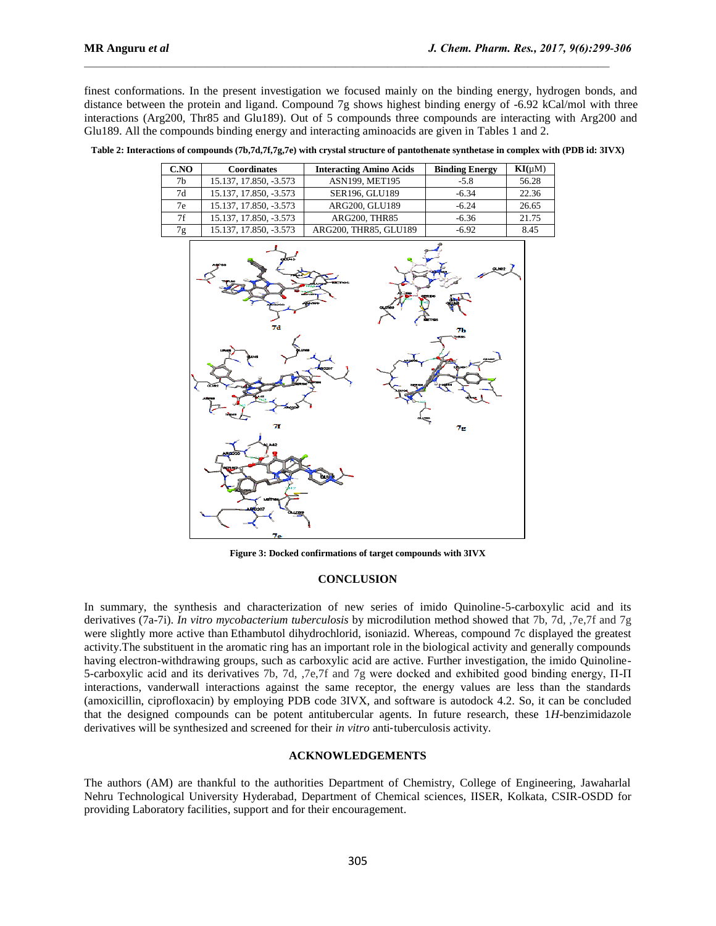finest conformations. In the present investigation we focused mainly on the binding energy, hydrogen bonds, and distance between the protein and ligand. Compound 7g shows highest binding energy of -6.92 kCal/mol with three interactions (Arg200, Thr85 and Glu189). Out of 5 compounds three compounds are interacting with Arg200 and Glu189. All the compounds binding energy and interacting aminoacids are given in Tables 1 and 2.

| CNO            | <b>Coordinates</b>     | <b>Interacting Amino Acids</b> | <b>Binding Energy</b> | $\mathbf{KI}(\mu M)$ |
|----------------|------------------------|--------------------------------|-----------------------|----------------------|
| 7 <sub>b</sub> | 15.137, 17.850, -3.573 | <b>ASN199, MET195</b>          | $-5.8$                | 56.28                |
| 7d             | 15.137, 17.850, -3.573 | <b>SER196, GLU189</b>          | $-6.34$               | 22.36                |
| 7e             | 15.137, 17.850, -3.573 | ARG200, GLU189                 | $-6.24$               | 26.65                |
| 7f             | 15.137, 17.850, -3.573 | ARG200, THR85                  | $-6.36$               | 21.75                |
| 7g             | 15.137, 17.850, -3.573 | ARG200, THR85, GLU189          | $-6.92$               | 8.45                 |

**Table 2: Interactions of compounds (7b,7d,7f,7g,7e) with crystal structure of pantothenate synthetase in complex with (PDB id: 3IVX)**



**Figure 3: Docked confirmations of target compounds with 3IVX**

#### **CONCLUSION**

In summary, the synthesis and characterization of new series of imido Quinoline-5-carboxylic acid and its derivatives (7a-7i). *In vitro mycobacterium tuberculosis* by microdilution method showed that 7b, 7d, ,7e,7f and 7g were slightly more active than Ethambutol dihydrochlorid, isoniazid. Whereas, compound 7c displayed the greatest activity.The substituent in the aromatic ring has an important role in the biological activity and generally compounds having electron-withdrawing groups, such as carboxylic acid are active. Further investigation, the imido Quinoline-5-carboxylic acid and its derivatives 7b, 7d, ,7e,7f and 7g were docked and exhibited good binding energy, Π-Π interactions, vanderwall interactions against the same receptor, the energy values are less than the standards (amoxicillin, ciprofloxacin) by employing PDB code 3IVX, and software is autodock 4.2. So, it can be concluded that the designed compounds can be potent antitubercular agents. In future research, these 1*H*-benzimidazole derivatives will be synthesized and screened for their *in vitro* anti‐tuberculosis activity.

#### **ACKNOWLEDGEMENTS**

The authors (AM) are thankful to the authorities Department of Chemistry, College of Engineering, Jawaharlal Nehru Technological University Hyderabad, Department of Chemical sciences, IISER, Kolkata, CSIR-OSDD for providing Laboratory facilities, support and for their encouragement.